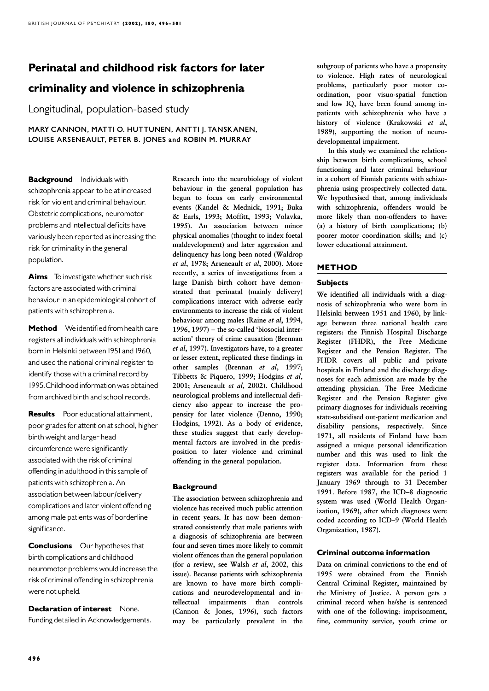# Perinatal and childhood risk factors for later

# criminality and violence in schizophrenia

Longitudinal, population-based study

MARY CANNON, MATTI O. HUTTUNEN, ANTTI J. TANSKANEN, LOUISE ARSENEAULT, PETER B. JONES and ROBIN M. MURRAY

**Background** Individuals with schizophrenia appear to be at increased risk for violent and criminal behaviour. Obstetric complications, neuromotor problems and intellectual deficits have variously been reported as increasing the risk for criminality in the general population.

Aims To investigate whether such risk factors are associated with criminal behaviour in an epidemiological cohort of patients with schizophrenia.

Method We identified from health care registers all individuals with schizophrenia born in Helsinki between 1951 and 1960, and used the national criminal register to identify those with a criminal record by 1995 Childhood information was obtained from archived birth and school records.

**Results** Poor educational attainment. poor grades for attention at school, higher birth weight and larger head circumference were significantly associated with the risk of criminal offending in adulthood in this sample of patients with schizophrenia. An association between labour/delivery complications and later violent offending among male patients was of borderline significance.

**Conclusions** Our hypotheses that birth complications and childhood neuromotor problems would increase the risk of criminal offending in schizophrenia were not upheld.

**Declaration of interest** None. Funding detailed in Acknowledgements.

Research into the neurobiology of violent behaviour in the general population has begun to focus on early environmental events (Kandel & Mednick, 1991; Buka & Earls, 1993; Moffitt, 1993; Volavka, 1995). An association between minor physical anomalies (thought to index foetal maldevelopment) and later aggression and delinquency has long been noted (Waldrop et al, 1978; Arseneault et al, 2000). More recently, a series of investigations from a large Danish birth cohort have demonstrated that perinatal (mainly delivery) complications interact with adverse early environments to increase the risk of violent behaviour among males (Raine et al, 1994, 1996,  $1997$  – the so-called 'biosocial interaction' theory of crime causation (Brennan et al, 1997). Investigators have, to a greater or lesser extent, replicated these findings in other samples (Brennan et al. 1997; Tibbetts & Piquero, 1999; Hodgins et al, 2001; Arseneault et al, 2002). Childhood neurological problems and intellectual deficiency also appear to increase the propensity for later violence (Denno, 1990; Hodgins, 1992). As a body of evidence, these studies suggest that early developmental factors are involved in the predisposition to later violence and criminal offending in the general population.

# **Background**

The association between schizophrenia and violence has received much public attention in recent years. It has now been demonstrated consistently that male patients with a diagnosis of schizophrenia are between four and seven times more likely to commit violent offences than the general population (for a review, see Walsh et al, 2002, this issue). Because patients with schizophrenia are known to have more birth complications and neurodevelopmental and intellectual impairments than controls (Cannon & Jones, 1996), such factors may be particularly prevalent in the

subgroup of patients who have a propensity to violence. High rates of neurological problems, particularly poor motor coordination, poor visuo-spatial function and low IQ, have been found among inpatients with schizophrenia who have a history of violence (Krakowski et al, 1989), supporting the notion of neurodevelopmental impairment.

In this study we examined the relationship between birth complications, school functioning and later criminal behaviour in a cohort of Finnish patients with schizophrenia using prospectively collected data. We hypothesised that, among individuals with schizophrenia, offenders would be more likely than non-offenders to have: (a) a history of birth complications; (b) poorer motor coordination skills: and (c) lower educational attainment.

# **METHOD**

# **Subjects**

We identified all individuals with a diagnosis of schizophrenia who were born in Helsinki between 1951 and 1960, by linkage between three national health care registers: the Finnish Hospital Discharge Register (FHDR), the Free Medicine Register and the Pension Register. The FHDR covers all public and private hospitals in Finland and the discharge diagnoses for each admission are made by the attending physician. The Free Medicine Register and the Pension Register give primary diagnoses for individuals receiving state-subsidised out-patient medication and disability pensions, respectively. Since 1971, all residents of Finland have been assigned a unique personal identification number and this was used to link the register data. Information from these registers was available for the period 1 January 1969 through to 31 December 1991. Before 1987, the ICD-8 diagnostic system was used (World Health Organization, 1969), after which diagnoses were coded according to ICD-9 (World Health Organization, 1987).

## **Criminal outcome information**

Data on criminal convictions to the end of 1995 were obtained from the Finnish Central Criminal Register, maintained by the Ministry of Justice. A person gets a criminal record when he/she is sentenced with one of the following: imprisonment, fine, community service, youth crime or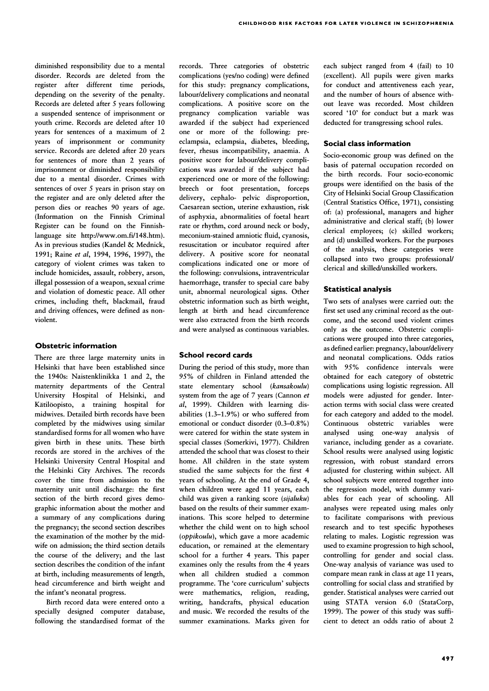diminished responsibility due to a mental disorder. Records are deleted from the register after different time periods, depending on the severity of the penalty. Records are deleted after 5 years following a suspended sentence of imprisonment or vouth crime. Records are deleted after 10 years for sentences of a maximum of 2 years of imprisonment or community service. Records are deleted after 20 years for sentences of more than 2 years of imprisonment or diminished responsibility due to a mental disorder. Crimes with sentences of over 5 years in prison stay on the register and are only deleted after the person dies or reaches 90 years of age. (Information on the Finnish Criminal Register can be found on the Finnishlanguage site http://www.om.fi/148.htm). As in previous studies (Kandel & Mednick, 1991; Raine et al, 1994, 1996, 1997), the category of violent crimes was taken to include homicides, assault, robbery, arson, illegal possession of a weapon, sexual crime and violation of domestic peace. All other crimes, including theft, blackmail, fraud and driving offences, were defined as nonviolent.

## **Obstetric information**

There are three large maternity units in Helsinki that have been established since the 1940s: Naistenklinikka 1 and 2, the maternity departments of the Central University Hospital of Helsinki, and Kätilöopisto, a training hospital for midwives. Detailed birth records have been completed by the midwives using similar standardised forms for all women who have given birth in these units. These birth records are stored in the archives of the Helsinki University Central Hospital and the Helsinki City Archives. The records cover the time from admission to the maternity unit until discharge: the first section of the birth record gives demographic information about the mother and a summary of any complications during the pregnancy: the second section describes the examination of the mother by the midwife on admission; the third section details the course of the delivery; and the last section describes the condition of the infant at birth, including measurements of length, head circumference and birth weight and the infant's neonatal progress.

Birth record data were entered onto a specially designed computer database, following the standardised format of the

records. Three categories of obstetric complications (yes/no coding) were defined for this study: pregnancy complications, labour/delivery complications and neonatal complications. A positive score on the pregnancy complication variable was awarded if the subject had experienced one or more of the following: preeclampsia, eclampsia, diabetes, bleeding, fever, rhesus incompatibility, anaemia. A positive score for labour/delivery complications was awarded if the subject had experienced one or more of the following: breech or foot presentation, forceps delivery, cephalo- pelvic disproportion, Caesarean section, uterine exhaustion, risk of asphyxia, abnormalities of foetal heart rate or rhythm, cord around neck or body, meconium-stained amniotic fluid, cvanosis, resuscitation or incubator required after delivery. A positive score for neonatal complications indicated one or more of the following: convulsions, intraventricular haemorrhage, transfer to special care baby unit, abnormal neurological signs. Other obstetric information such as birth weight, length at birth and head circumference were also extracted from the birth records and were analysed as continuous variables.

## **School record cards**

During the period of this study, more than 95% of children in Finland attended the state elementary school (kansakoulu) system from the age of 7 years (Cannon et al, 1999). Children with learning disabilities  $(1.3-1.9\%)$  or who suffered from emotional or conduct disorder (0.3-0.8%) were catered for within the state system in special classes (Somerkivi, 1977). Children attended the school that was closest to their home. All children in the state system studied the same subjects for the first 4 years of schooling. At the end of Grade 4, when children were aged 11 years, each child was given a ranking score (sijaluku) based on the results of their summer examinations. This score helped to determine whether the child went on to high school (oppikoulu), which gave a more academic education, or remained at the elementary school for a further 4 years. This paper examines only the results from the 4 years when all children studied a common programme. The 'core curriculum' subjects were mathematics, religion, reading, writing, handcrafts, physical education and music. We recorded the results of the summer examinations. Marks given for each subject ranged from 4 (fail) to 10 (excellent). All pupils were given marks for conduct and attentiveness each year, and the number of hours of absence without leave was recorded. Most children scored '10' for conduct but a mark was deducted for transgressing school rules.

## Social class information

Socio-economic group was defined on the basis of paternal occupation recorded on the birth records. Four socio-economic groups were identified on the basis of the City of Helsinki Social Group Classification (Central Statistics Office, 1971), consisting of: (a) professional, managers and higher administrative and clerical staff: (b) lower clerical employees; (c) skilled workers; and (d) unskilled workers. For the purposes of the analysis, these categories were collapsed into two groups: professional/ clerical and skilled/unskilled workers.

## **Statistical analysis**

Two sets of analyses were carried out: the first set used any criminal record as the outcome, and the second used violent crimes only as the outcome. Obstetric complications were grouped into three categories, as defined earlier: pregnancy, labour/delivery and neonatal complications. Odds ratios with 95% confidence intervals were obtained for each category of obstetric complications using logistic regression. All models were adjusted for gender. Interaction terms with social class were created for each category and added to the model. Continuous obstetric variables were analysed using one-way analysis of variance, including gender as a covariate. School results were analysed using logistic regression, with robust standard errors adjusted for clustering within subject. All school subjects were entered together into the regression model, with dummy variables for each year of schooling. All analyses were repeated using males only to facilitate comparisons with previous research and to test specific hypotheses relating to males. Logistic regression was used to examine progression to high school, controlling for gender and social class. One-way analysis of variance was used to compare mean rank in class at age 11 years, controlling for social class and stratified by gender. Statistical analyses were carried out using STATA version 6.0 (StataCorp, 1999). The power of this study was sufficient to detect an odds ratio of about 2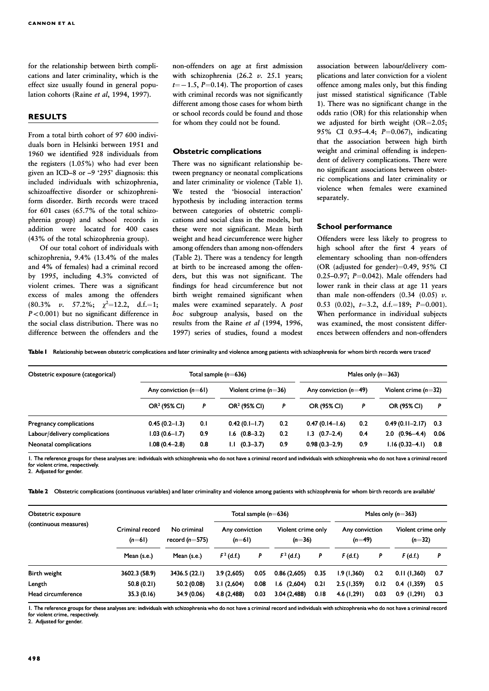for the relationship between birth complications and later criminality, which is the effect size usually found in general population cohorts (Raine et al, 1994, 1997).

## **RESULTS**

From a total birth cohort of 97 600 individuals born in Helsinki between 1951 and 1960 we identified 928 individuals from the registers (1.05%) who had ever been given an ICD-8 or  $-9$  '295' diagnosis: this included individuals with schizophrenia, schizoaffective disorder or schizophreniform disorder. Birth records were traced for  $601$  cases  $(65.7\%$  of the total schizophrenia group) and school records in addition were located for 400 cases (43% of the total schizophrenia group).

Of our total cohort of individuals with schizophrenia, 9.4% (13.4% of the males and 4% of females) had a criminal record by 1995, including 4.3% convicted of violent crimes. There was a significant excess of males among the offenders  $(80.3\% \quad v. \quad 57.2\%; \quad \chi^2=12.2, \quad d.f.=1;$  $P < 0.001$ ) but no significant difference in the social class distribution. There was no difference between the offenders and the

non-offenders on age at first admission with schizophrenia (26.2  $\nu$ . 25.1 years;  $t=-1.5$ , P=0.14). The proportion of cases with criminal records was not significantly different among those cases for whom birth or school records could be found and those for whom they could not be found.

#### **Obstetric complications**

There was no significant relationship between pregnancy or neonatal complications and later criminality or violence (Table 1). We tested the 'biosocial interaction' hypothesis by including interaction terms between categories of obstetric complications and social class in the models, but these were not significant. Mean birth weight and head circumference were higher among offenders than among non-offenders (Table 2). There was a tendency for length at birth to be increased among the offenders, but this was not significant. The findings for head circumference but not birth weight remained significant when males were examined separately. A post hoc subgroup analysis, based on the results from the Raine et al (1994, 1996, 1997) series of studies, found a modest

association between labour/delivery complications and later conviction for a violent offence among males only, but this finding just missed statistical significance (Table 1). There was no significant change in the odds ratio (OR) for this relationship when we adjusted for birth weight  $(OR=2.05;$ 95% CI 0.95-4.4;  $P=0.067$ ), indicating that the association between high birth weight and criminal offending is independent of delivery complications. There were no significant associations between obstetric complications and later criminality or violence when females were examined separately.

#### **School performance**

Offenders were less likely to progress to high school after the first 4 years of elementary schooling than non-offenders (OR (adjusted for gender)=0.49, 95% CI 0.25-0.97;  $P=0.042$ ). Male offenders had lower rank in their class at age 11 years than male non-offenders  $(0.34)(0.05)$  v. 0.53 (0.02),  $t=3.2$ , d.f.=189; P=0.001). When performance in individual subjects was examined, the most consistent differences between offenders and non-offenders

Table I Relationship between obstetric complications and later criminality and violence among patients with schizophrenia for whom birth records were traced<sup>1</sup>

| Obstetric exposure (categorical) |                          | Total sample $(n=636)$ | Males only $(n=363)$     |     |                         |     |                        |      |
|----------------------------------|--------------------------|------------------------|--------------------------|-----|-------------------------|-----|------------------------|------|
|                                  | Any conviction $(n=61)$  |                        | Violent crime $(n=36)$   |     | Any conviction $(n=49)$ |     | Violent crime $(n=32)$ |      |
|                                  | OR <sup>2</sup> (95% CI) | P                      | OR <sup>2</sup> (95% CI) | P   | OR (95% CI)             | P   | OR (95% CI)            | P    |
| Pregnancy complications          | $0.45(0.2 - 1.3)$        | 0.1                    | $0.42(0.1 - 1.7)$        | 0.2 | $0.47(0.14-1.6)$        | 0.2 | $0.49(0.11 - 2.17)$    | 0.3  |
| Labour/delivery complications    | $1.03(0.6 - 1.7)$        | 0.9                    | $1.6$ $(0.8-3.2)$        | 0.2 | $1.3$ $(0.7-2.4)$       | 0.4 | $2.0(0.96-4.4)$        | 0.06 |
| Neonatal complications           | $1.08(0.4 - 2.8)$        | 0.8                    | $(0.3 - 3.7)$<br>LI.     | 0.9 | $0.98(0.3-2.9)$         | 0.9 | $1.16(0.32 - 4.1)$     | 0.8  |

I. The reference groups for these analyses are: individuals with schizophrenia who do not have a criminal record and individuals with schizophrenia who do not have a criminal record for violent crime, respectively.

2. Adjusted for gender.

Table 2 Obstetric complications (continuous variables) and later criminality and violence among patients with schizophrenia for whom birth records are available

| Obstetric exposure<br>(continuous measures) |                             |                                 |                            | Total sample (n=636) | Males only $(n=363)$           |      |                            |      |                                |     |
|---------------------------------------------|-----------------------------|---------------------------------|----------------------------|----------------------|--------------------------------|------|----------------------------|------|--------------------------------|-----|
|                                             | Criminal record<br>$(n=61)$ | No criminal<br>record $(n=575)$ | Any conviction<br>$(n=61)$ |                      | Violent crime only<br>$(n=36)$ |      | Any conviction<br>$(n=49)$ |      | Violent crime only<br>$(n=32)$ |     |
|                                             | Mean (s.e.)                 | Mean (s.e.)                     | $F^2$ (d.f.)               | P                    | $F^2$ (d.f.)                   | P    | F(d.f.)                    | P    | F(d.f.)                        | P   |
| Birth weight                                | 3602.3 (58.9)               | 3436.5(22.1)                    | 3.9(2,605)                 | 0.05                 | 0.86(2,605)                    | 0.35 | 1.9(1,360)                 | 0.2  | 0.11(1,360)                    | 0.7 |
| Length                                      | 50.8(0.21)                  | 50.2 (0.08)                     | 3.1(2,604)                 | 0.08                 | $1.6$ $(2,604)$                | 0.21 | 2.5(1,359)                 | 0.12 | $0.4$ (1,359)                  | 0.5 |
| Head circumference                          | 35.3(0.16)                  | 34.9 (0.06)                     | 4.8(2,488)                 | 0.03                 | 3.04(2,488)                    | 0.18 | 4.6(1,291)                 | 0.03 | $0.9$ (1,291)                  | 0.3 |

I. The reference groups for these analyses are: individuals with schizophrenia who do not have a criminal record and individuals with schizophrenia who do not have a criminal record for violent crime. respectively.

2. Adjusted for gender.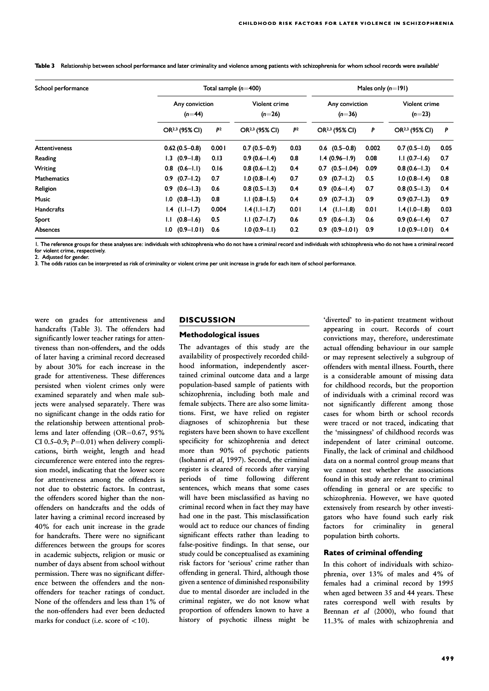Table 3 Relationship between school performance and later criminality and violence among patients with schizophrenia for whom school records were available<sup>1</sup>

| School performance   |                            | Total sample $(n=400)$ | Males only $(n=191)$             |                |                                    |       |                            |      |
|----------------------|----------------------------|------------------------|----------------------------------|----------------|------------------------------------|-------|----------------------------|------|
|                      | Any conviction<br>$(n=44)$ |                        | <b>Violent crime</b><br>$(n=26)$ |                | Any conviction<br>$(n=36)$         |       | Violent crime<br>$(n=23)$  |      |
|                      | OR <sup>2,3</sup> (95% CI) | P <sup>2</sup>         | OR <sup>2,3</sup> (95% CI)       | P <sup>2</sup> | OR <sup>2,3</sup> (95% CI)         | P     | OR <sup>2,3</sup> (95% CI) | P    |
| <b>Attentiveness</b> | $0.62(0.5-0.8)$            | 0.001                  | $0.7(0.5-0.9)$                   | 0.03           | $0.6$ $(0.5-0.8)$                  | 0.002 | $0.7(0.5-1.0)$             | 0.05 |
| Reading              | $1.3$ $(0.9-1.8)$          | 0.13                   | $0.9(0.6 - 1.4)$                 | 0.8            | $1.4(0.96 - 1.9)$                  | 0.08  | $1.1(0.7-1.6)$             | 0.7  |
| Writing              | $0.8$ $(0.6-1.1)$          | 0.16                   | $0.8(0.6 - 1.2)$                 | 0.4            | $0.7$ $(0.5 - 1.04)$               | 0.09  | $0.8(0.6 - 1.3)$           | 0.4  |
| <b>Mathematics</b>   | $0.9$ $(0.7-1.2)$          | 0.7                    | $1.0(0.8-1.4)$                   | 0.7            | $0.9$ $(0.7-1.2)$                  | 0.5   | $1.0(0.8-1.4)$             | 0.8  |
| Religion             | $(0.6 - 1.3)$<br>0.9       | 0.6                    | $0.8(0.5-1.3)$                   | 0.4            | $0.9$ $(0.6-1.4)$                  | 0.7   | $0.8(0.5-1.3)$             | 0.4  |
| <b>Music</b>         | $1.0$ $(0.8-1.3)$          | 0.8                    | $1.1(0.8-1.5)$                   | 0.4            | $0.9$ $(0.7-1.3)$                  | 0.9   | $0.9(0.7-1.3)$             | 0.9  |
| <b>Handcrafts</b>    | $1.4$ $(l.l - 1.7)$        | 0.004                  | $1.4(1.1-1.7)$                   | 0.01           | $1.4$ $(1.1-1.8)$                  | 0.01  | $1.4(1.0-1.8)$             | 0.03 |
| Sport                | $1.1(0.8-1.6)$             | 0.5                    | $1.1(0.7-1.7)$                   | 0.6            | $(0.6 - 1.3)$<br>0.9               | 0.6   | $0.9(0.6 - 1.4)$           | 0.7  |
| <b>Absences</b>      | $(0.9 - 1.01)$<br>1.0      | 0.6                    | $1.0(0.9 - 1.1)$                 | 0.2            | $(0.9 - 1.01)$<br>0.9 <sub>1</sub> | 0.9   | $1.0(0.9 - 1.01)$          | 0.4  |

I. The reference groups for these analyses are: individuals with schizophrenia who do not have a criminal record and individuals with schizophrenia who do not have a criminal record for violent crime, respectively

2. Adjusted for gender.

3. The odds ratios can be interpreted as risk of criminality or violent crime per unit increase in grade for each item of school performance.

were on grades for attentiveness and handcrafts (Table 3). The offenders had significantly lower teacher ratings for attentiveness than non-offenders, and the odds of later having a criminal record decreased by about 30% for each increase in the grade for attentiveness. These differences persisted when violent crimes only were examined separately and when male subjects were analysed separately. There was no significant change in the odds ratio for the relationship between attentional problems and later offending (OR=0.67, 95% CI 0.5-0.9;  $P=0.01$ ) when delivery complications, birth weight, length and head circumference were entered into the regression model, indicating that the lower score for attentiveness among the offenders is not due to obstetric factors. In contrast, the offenders scored higher than the nonoffenders on handcrafts and the odds of later having a criminal record increased by 40% for each unit increase in the grade for handcrafts. There were no significant differences between the groups for scores in academic subjects, religion or music or number of days absent from school without permission. There was no significant difference between the offenders and the nonoffenders for teacher ratings of conduct. None of the offenders and less than 1% of the non-offenders had ever been deducted marks for conduct (i.e. score of  $\langle 10 \rangle$ ).

#### **DISCUSSION**

## **Methodological issues**

The advantages of this study are the availability of prospectively recorded childhood information, independently ascertained criminal outcome data and a large population-based sample of patients with schizophrenia, including both male and female subjects. There are also some limitations. First, we have relied on register diagnoses of schizophrenia but these registers have been shown to have excellent specificity for schizophrenia and detect more than 90% of psychotic patients (Isohanni et al, 1997). Second, the criminal register is cleared of records after varying periods of time following different sentences, which means that some cases will have been misclassified as having no criminal record when in fact they may have had one in the past. This misclassification would act to reduce our chances of finding significant effects rather than leading to false-positive findings. In that sense, our study could be conceptualised as examining risk factors for 'serious' crime rather than offending in general. Third, although those given a sentence of diminished responsibility due to mental disorder are included in the criminal register, we do not know what proportion of offenders known to have a history of psychotic illness might be

'diverted' to in-patient treatment without appearing in court. Records of court convictions may, therefore, underestimate actual offending behaviour in our sample or may represent selectively a subgroup of offenders with mental illness. Fourth, there is a considerable amount of missing data for childhood records, but the proportion of individuals with a criminal record was not significantly different among those cases for whom birth or school records were traced or not traced, indicating that the 'missingness' of childhood records was independent of later criminal outcome. Finally, the lack of criminal and childhood data on a normal control group means that we cannot test whether the associations found in this study are relevant to criminal offending in general or are specific to schizophrenia. However, we have quoted extensively from research by other investigators who have found such early risk factors for criminality in general population birth cohorts.

## **Rates of criminal offending**

In this cohort of individuals with schizophrenia, over 13% of males and 4% of females had a criminal record by 1995 when aged between 35 and 44 years. These rates correspond well with results by Brennan et al (2000), who found that 11.3% of males with schizophrenia and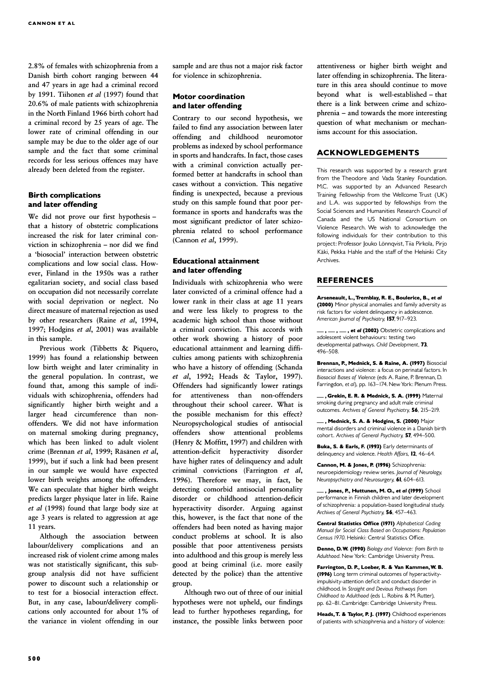2.8% of females with schizophrenia from a Danish birth cohort ranging between 44 and 47 years in age had a criminal record by 1991. Tiihonen et al (1997) found that 20.6% of male patients with schizophrenia in the North Finland 1966 birth cohort had a criminal record by 25 years of age. The lower rate of criminal offending in our sample may be due to the older age of our sample and the fact that some criminal records for less serious offences may have already been deleted from the register.

# **Birth complications** and later offending

We did not prove our first hypothesis that a history of obstetric complications increased the risk for later criminal conviction in schizophrenia - nor did we find a 'biosocial' interaction between obstetric complications and low social class. However, Finland in the 1950s was a rather egalitarian society, and social class based on occupation did not necessarily correlate with social deprivation or neglect. No direct measure of maternal rejection as used by other researchers (Raine et al, 1994, 1997: Hodgins et al. 2001) was available in this sample.

Previous work (Tibbetts & Piquero, 1999) has found a relationship between low birth weight and later criminality in the general population. In contrast, we found that, among this sample of individuals with schizophrenia, offenders had significantly higher birth weight and a larger head circumference than nonoffenders. We did not have information on maternal smoking during pregnancy, which has been linked to adult violent crime (Brennan et al, 1999; Räsänen et al, 1999), but if such a link had been present in our sample we would have expected lower birth weights among the offenders. We can speculate that higher birth weight predicts larger physique later in life. Raine et al (1998) found that large body size at age 3 years is related to aggression at age 11 years.

Although the association between labour/delivery complications and an increased risk of violent crime among males was not statistically significant, this subgroup analysis did not have sufficient power to discount such a relationship or to test for a biosocial interaction effect. But, in any case, labour/delivery complications only accounted for about 1% of the variance in violent offending in our sample and are thus not a major risk factor for violence in schizophrenia.

## **Motor coordination** and later offending

Contrary to our second hypothesis, we failed to find any association between later offending and childhood neuromotor problems as indexed by school performance in sports and handcrafts. In fact, those cases with a criminal conviction actually performed better at handcrafts in school than cases without a conviction. This negative finding is unexpected, because a previous study on this sample found that poor performance in sports and handcrafts was the most significant predictor of later schizophrenia related to school performance (Cannon et al, 1999).

# **Educational attainment** and later offending

Individuals with schizophrenia who were later convicted of a criminal offence had a lower rank in their class at age 11 years and were less likely to progress to the academic high school than those without a criminal conviction. This accords with other work showing a history of poor educational attainment and learning difficulties among patients with schizophrenia who have a history of offending (Schanda et al, 1992; Heads & Taylor, 1997). Offenders had significantly lower ratings for attentiveness than non-offenders throughout their school career. What is the possible mechanism for this effect? Neuropsychological studies of antisocial offenders show attentional problems (Henry & Moffitt, 1997) and children with attention-deficit hyperactivity disorder have higher rates of delinquency and adult criminal convictions (Farrington et al, 1996). Therefore we may, in fact, be detecting comorbid antisocial personality disorder or childhood attention-deficit hyperactivity disorder. Arguing against this, however, is the fact that none of the offenders had been noted as having major conduct problems at school. It is also possible that poor attentiveness persists into adulthood and this group is merely less good at being criminal (i.e. more easily detected by the police) than the attentive group.

Although two out of three of our initial hypotheses were not upheld, our findings lead to further hypotheses regarding, for instance, the possible links between poor attentiveness or higher birth weight and later offending in schizophrenia. The literature in this area should continue to move beyond what is well-established - that there is a link between crime and schizophrenia – and towards the more interesting question of what mechanism or mechanisms account for this association.

## **ACKNOWLEDGEMENTS**

This research was supported by a research grant from the Theodore and Vada Stanley Foundation. M.C. was supported by an Advanced Research Training Fellowship from the Wellcome Trust (UK) and L.A. was supported by fellowships from the Social Sciences and Humanities Research Council of Canada and the US National Consortium on Violence Research. We wish to acknowledge the following individuals for their contribution to this project: Professor Jouko Lönnqvist, Tiia Pirkola, Pirjo Käki, Pekka Hahle and the staff of the Helsinki City Archives

### **REFERENCES**

Arseneault, L., Tremblay, R. E., Boulerice, B., et al (2000) Minor physical anomalies and family adversity as risk factors for violent delinquency in adolescence. American Journal of Psychiatry, 157, 917-923.

**...**, et al (2002) Obstetric complications and adolescent violent behaviours: testing two developmental pathways. Child Development, 73, 496-508

Brennan, P., Mednick, S. & Raine, A. (1997) Biosocial interactions and violence: a focus on perinatal factors. In Biosocial Bases of Violence (eds A. Raine, P. Brennan, D. Farringdon, et al), pp. 163-174. New York: Plenum Press.

, Grekin, E. R. & Mednick, S. A. (1999) Maternal smoking during pregnancy and adult male criminal outcomes. Archives of General Psychiatry, 56, 215-219.

, Mednick, S. A. & Hodgins, S. (2000) Major mental disorders and criminal violence in a Danish birth cohort. Archives of General Psychiatry, 57, 494-500.

Buka, S. & Earls, F. (1993) Early determinants of delinquency and violence. Health Affairs, 12, 46-64.

Cannon, M. & Jones, P. (1996) Schizophrenia: neuroepidemiology review series. Journal of Neurology, Neuropsychiatry and Neurosurgery, 61, 604-613.

., Jones, P., Huttunen, M. O., et al (1999) School performance in Finnish children and later development of schizophrenia: a population-based longitudinal study. Archives of General Psychiatry, 56, 457-463.

**Central Statistics Office (1971)** Alphabetical Coding Manual for Social Class Based on Occupations: Population Census 1970 Helsinki: Central Statistics Office

Denno, D.W. (1990) Biology and Violence: from Birth to Adulthood. New York: Cambridge University Press.

Farrington, D. P., Loeber, R. & Van Kammen, W. B. (1996) Long term criminal outcomes of hyperactivityimpulsivity-attention deficit and conduct disorder in childhood. In Straight and Devious Pathways from Childhood to Adulthood (eds L. Robins & M. Rutter), pp. 62-81. Cambridge: Cambridge University Press.

Heads, T. & Taylor, P. J. (1997) Childhood experiences of patients with schizophrenia and a history of violence: